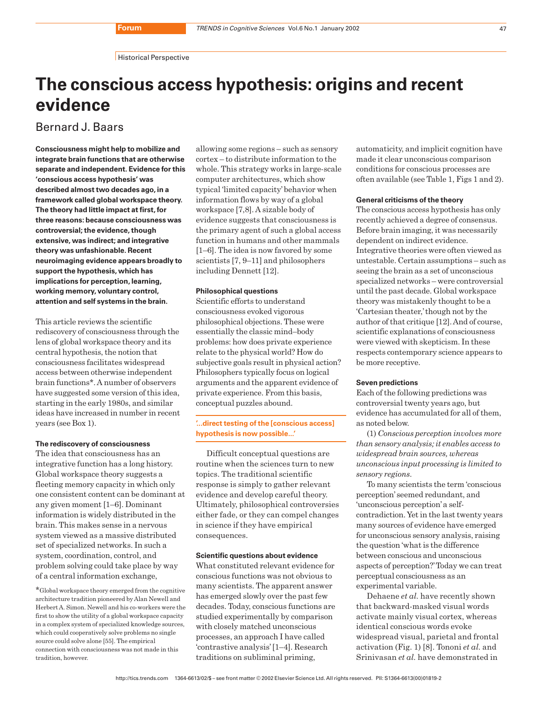**Historical Perspective** 

# **The conscious access hypothesis: origins and recent evidence**

Bernard J. Baars

**Consciousness might help to mobilize and integrate brain functions that are otherwise separate and independent. Evidence for this 'conscious access hypothesis' was described almost two decades ago, in a framework called global workspace theory. The theory had little impact at first, for three reasons: because consciousness was controversial; the evidence, though extensive, was indirect; and integrative theory was unfashionable. Recent neuroimaging evidence appears broadly to support the hypothesis, which has implications for perception, learning, working memory, voluntary control, attention and self systems in the brain.**

This article reviews the scientific rediscovery of consciousness through the lens of global workspace theory and its central hypothesis, the notion that consciousness facilitates widespread access between otherwise independent brain functions\*. A number of observers have suggested some version of this idea, starting in the early 1980s, and similar ideas have increased in number in recent years (see Box 1).

## **The rediscovery of consciousness**

The idea that consciousness has an integrative function has a long history. Global workspace theory suggests a fleeting memory capacity in which only one consistent content can be dominant at any given moment [1–6]. Dominant information is widely distributed in the brain. This makes sense in a nervous system viewed as a massive distributed set of specialized networks. In such a system, coordination, control, and problem solving could take place by way of a central information exchange,

\*Global workspace theory emerged from the cognitive architecture tradition pioneered by Alan Newell and Herbert A. Simon. Newell and his co-workers were the first to show the utility of a global workspace capacity in a complex system of specialized knowledge sources, which could cooperatively solve problems no single source could solve alone [55]. The empirical connection with consciousness was not made in this tradition, however.

allowing some regions – such as sensory cortex – to distribute information to the whole. This strategy works in large-scale computer architectures, which show typical 'limited capacity'behavior when information flows by way of a global workspace [7,8]. A sizable body of evidence suggests that consciousness is the primary agent of such a global access function in humans and other mammals [1–6]. The idea is now favored by some scientists [7, 9–11] and philosophers including Dennett [12].

### **Philosophical questions**

Scientific efforts to understand consciousness evoked vigorous philosophical objections. These were essentially the classic mind–body problems: how does private experience relate to the physical world? How do subjective goals result in physical action? Philosophers typically focus on logical arguments and the apparent evidence of private experience. From this basis, conceptual puzzles abound.

# **'...direct testing of the [conscious access] hypothesis is now possible...'**

Difficult conceptual questions are routine when the sciences turn to new topics. The traditional scientific response is simply to gather relevant evidence and develop careful theory. Ultimately, philosophical controversies either fade, or they can compel changes in science if they have empirical consequences.

# **Scientific questions about evidence**

What constituted relevant evidence for conscious functions was not obvious to many scientists. The apparent answer has emerged slowly over the past few decades. Today, conscious functions are studied experimentally by comparison with closely matched unconscious processes, an approach I have called 'contrastive analysis'[1–4]. Research traditions on subliminal priming,

automaticity, and implicit cognition have made it clear unconscious comparison conditions for conscious processes are often available (see Table 1, Figs 1 and 2).

#### **General criticisms of the theory**

The conscious access hypothesis has only recently achieved a degree of consensus. Before brain imaging, it was necessarily dependent on indirect evidence. Integrative theories were often viewed as untestable. Certain assumptions – such as seeing the brain as a set of unconscious specialized networks – were controversial until the past decade. Global workspace theory was mistakenly thought to be a 'Cartesian theater,'though not by the author of that critique [12]. And of course, scientific explanations of consciousness were viewed with skepticism. In these respects contemporary science appears to be more receptive.

#### **Seven predictions**

Each of the following predictions was controversial twenty years ago, but evidence has accumulated for all of them, as noted below.

(1) *Conscious perception involves more than sensory analysis; it enables access to widespread brain sources, whereas unconscious input processing is limited to sensory regions*.

To many scientists the term 'conscious perception'seemed redundant, and 'unconscious perception'a selfcontradiction. Yet in the last twenty years many sources of evidence have emerged for unconscious sensory analysis, raising the question 'what is the difference between conscious and unconscious aspects of perception?'Today we can treat perceptual consciousness as an experimental variable.

Dehaene *et al.* have recently shown that backward-masked visual words activate mainly visual cortex, whereas identical conscious words evoke widespread visual, parietal and frontal activation (Fig. 1) [8]. Tononi *et al.* and Srinivasan *et al.* have demonstrated in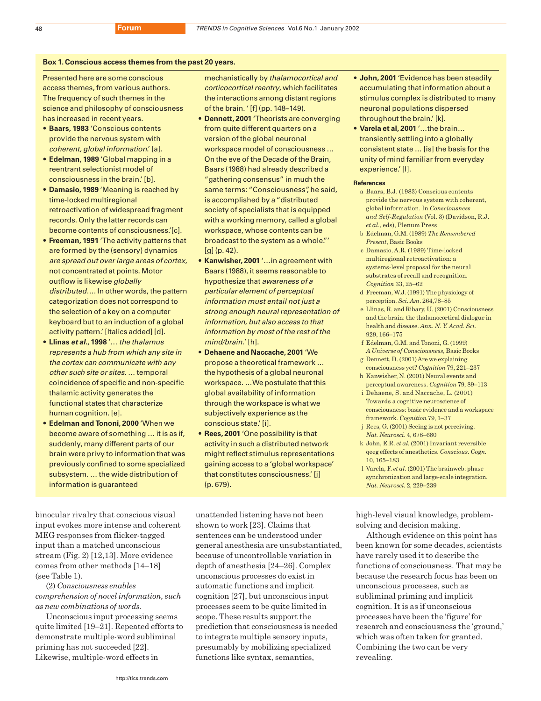#### **Box 1. Conscious access themes from the past 20 years.**

Presented here are some conscious access themes, from various authors. The frequency of such themes in the science and philosophy of consciousness has increased in recent years.

- **Baars, 1983** 'Conscious contents provide the nervous system with coherent, global information.' [a].
- **Edelman, 1989** 'Global mapping in a reentrant selectionist model of consciousness in the brain.' [b].
- **Damasio, 1989** 'Meaning is reached by time-locked multiregional retroactivation of widespread fragment records. Only the latter records can become contents of consciousness.'[c].
- **Freeman, 1991** 'The activity patterns that are formed by the (sensory) dynamics are spread out over large areas of cortex, not concentrated at points. Motor outflow is likewise globally distributed…. In other words, the pattern categorization does not correspond to the selection of a key on a computer keyboard but to an induction of a global activity pattern.' [Italics added] [d].
- **Llinas et al., 1998** '… the thalamus represents a hub from which any site in the cortex can communicate with any other such site or sites. … temporal coincidence of specific and non-specific thalamic activity generates the functional states that characterize human cognition. [e].
- **Edelman and Tononi, 2000** 'When we become aware of something … it is as if, suddenly, many different parts of our brain were privy to information that was previously confined to some specialized subsystem. … the wide distribution of information is guaranteed

binocular rivalry that conscious visual input evokes more intense and coherent MEG responses from flicker-tagged input than a matched unconscious stream (Fig. 2) [12,13]. More evidence comes from other methods [14–18] (see Table 1).

(2) *Consciousness enables comprehension of novel information, such as new combinations of words*.

Unconscious input processing seems quite limited [19–21]. Repeated efforts to demonstrate multiple-word subliminal priming has not succeeded [22]. Likewise, multiple-word effects in

mechanistically by thalamocortical and corticocortical reentry, which facilitates the interactions among distant regions of the brain. ' [f] (pp. 148–149).

- **Dennett, 2001** 'Theorists are converging from quite different quarters on a version of the global neuronal workspace model of consciousness … On the eve of the Decade of the Brain, Baars (1988) had already described a "gathering consensus" in much the same terms: "Consciousness", he said, is accomplished by a "distributed society of specialists that is equipped with a working memory, called a global workspace, whose contents can be broadcast to the system as a whole."'  $[q] (p. 42).$
- **Kanwisher, 2001** '…in agreement with Baars (1988), it seems reasonable to hypothesize that awareness of a particular element of perceptual information must entail not just a strong enough neural representation of information, but also access to that information by most of the rest of the mind/brain.' [h].
- **Dehaene and Naccache, 2001** 'We propose a theoretical framework … the hypothesis of a global neuronal workspace. …We postulate that this global availability of information through the workspace is what we subjectively experience as the conscious state.' [i].
- **Rees, 2001** 'One possibility is that activity in such a distributed network might reflect stimulus representations gaining access to a 'global workspace' that constitutes consciousness.' [j] (p. 679).

unattended listening have not been shown to work [23]. Claims that sentences can be understood under general anesthesia are unsubstantiated, because of uncontrollable variation in depth of anesthesia [24–26]. Complex unconscious processes do exist in automatic functions and implicit cognition [27], but unconscious input processes seem to be quite limited in scope. These results support the prediction that consciousness is needed to integrate multiple sensory inputs, presumably by mobilizing specialized functions like syntax, semantics,

- **John, 2001** 'Evidence has been steadily accumulating that information about a stimulus complex is distributed to many neuronal populations dispersed throughout the brain.' [k].
- **Varela et al, 2001** '…the brain… transiently settling into a globally consistent state … [is] the basis for the unity of mind familiar from everyday experience.' [l].

#### **References**

- a Baars, B.J. (1983) Conscious contents provide the nervous system with coherent, global information. In *Consciousness and Self-Regulation* (Vol. 3) (Davidson, R.J. *et al.*, eds), Plenum Press
- b Edelman, G.M. (1989) *The Remembered Present*, Basic Books
- c Damasio, A.R. (1989) Time-locked multiregional retroactivation: a systems-level proposal for the neural substrates of recall and recognition. *Cognition* 33, 25–62
- d Freeman, W.J. (1991) The physiology of perception. *Sci. Am*. 264,78–85
- e Llinas, R. and Ribary, U. (2001) Consciousness and the brain: the thalamocortical dialogue in health and disease. *Ann. N. Y. Acad. Sci.* 929, 166–175
- f Edelman, G.M. and Tononi, G. (1999) *A Universe of Consciousness*, Basic Books g Dennett, D. (2001) Are we explaining
- consciousness yet? *Cognition* 79, 221–237 h Kanwisher, N. (2001) Neural events and
- perceptual awareness. *Cognition* 79, 89–113 i Dehaene, S. and Naccache, L. (2001).
- Towards a cognitive neuroscience of consciousness: basic evidence and a workspace framework. *Cognition* 79, 1–37
- j Rees, G. (2001) Seeing is not perceiving. *Nat. Neurosci*. 4, 678–680
- k John, E.R. *et al.* (2001) Invariant reversible qeeg effects of anesthetics. *Conscious. Cogn.* 10, 165–183
- l Varela, F. *et al.* (2001) The brainweb: phase synchronization and large-scale integration. *Nat. Neurosci.* 2, 229–239

high-level visual knowledge, problemsolving and decision making.

Although evidence on this point has been known for some decades, scientists have rarely used it to describe the functions of consciousness. That may be because the research focus has been on unconscious processes, such as subliminal priming and implicit cognition. It is as if unconscious processes have been the 'figure' for research and consciousness the 'ground,' which was often taken for granted. Combining the two can be very revealing.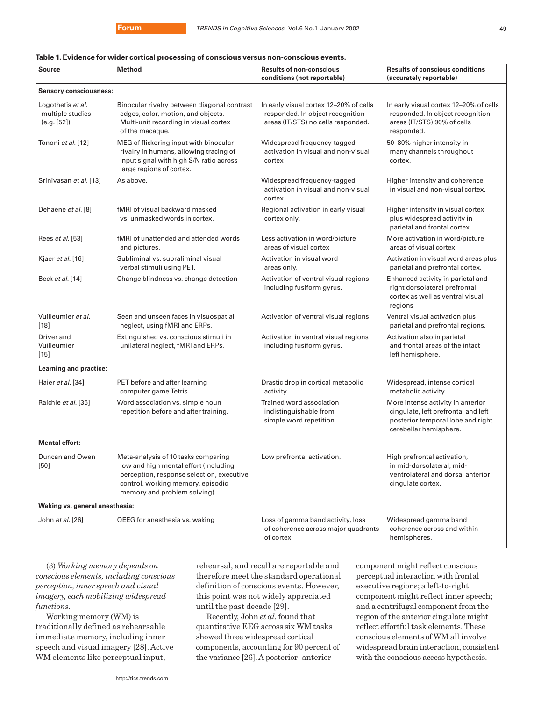# **Table 1. Evidence for wider cortical processing of conscious versus non-conscious events.**

| Source                                               | <b>Method</b>                                                                                                                                                                                 | <b>Results of non-conscious</b><br>conditions (not reportable)                                                   | <b>Results of conscious conditions</b><br>(accurately reportable)                                                                       |
|------------------------------------------------------|-----------------------------------------------------------------------------------------------------------------------------------------------------------------------------------------------|------------------------------------------------------------------------------------------------------------------|-----------------------------------------------------------------------------------------------------------------------------------------|
| <b>Sensory consciousness:</b>                        |                                                                                                                                                                                               |                                                                                                                  |                                                                                                                                         |
| Logothetis et al.<br>multiple studies<br>(e.g. [52]) | Binocular rivalry between diagonal contrast<br>edges, color, motion, and objects.<br>Multi-unit recording in visual cortex<br>of the macaque.                                                 | In early visual cortex 12-20% of cells<br>responded. In object recognition<br>areas (IT/STS) no cells responded. | In early visual cortex 12-20% of cells<br>responded. In object recognition<br>areas (IT/STS) 90% of cells<br>responded.                 |
| Tononi et al. [12]                                   | MEG of flickering input with binocular<br>rivalry in humans, allowing tracing of<br>input signal with high S/N ratio across<br>large regions of cortex.                                       | Widespread frequency-tagged<br>activation in visual and non-visual<br>cortex                                     | 50-80% higher intensity in<br>many channels throughout<br>cortex.                                                                       |
| Srinivasan et al. [13]                               | As above.                                                                                                                                                                                     | Widespread frequency-tagged<br>activation in visual and non-visual<br>cortex.                                    | Higher intensity and coherence<br>in visual and non-visual cortex.                                                                      |
| Dehaene et al. [8]                                   | fMRI of visual backward masked<br>vs. unmasked words in cortex.                                                                                                                               | Regional activation in early visual<br>cortex only.                                                              | Higher intensity in visual cortex<br>plus widespread activity in<br>parietal and frontal cortex.                                        |
| Rees <i>et al.</i> [53]                              | fMRI of unattended and attended words<br>and pictures.                                                                                                                                        | Less activation in word/picture<br>areas of visual cortex                                                        | More activation in word/picture<br>areas of visual cortex.                                                                              |
| Kjaer et al. [16]                                    | Subliminal vs. supraliminal visual<br>verbal stimuli using PET.                                                                                                                               | Activation in visual word<br>areas only.                                                                         | Activation in visual word areas plus<br>parietal and prefrontal cortex.                                                                 |
| Beck et al. [14]                                     | Change blindness vs. change detection                                                                                                                                                         | Activation of ventral visual regions<br>including fusiform gyrus.                                                | Enhanced activity in parietal and<br>right dorsolateral prefrontal<br>cortex as well as ventral visual<br>regions                       |
| Vuilleumier et al.<br>$[18]$                         | Seen and unseen faces in visuospatial<br>neglect, using fMRI and ERPs.                                                                                                                        | Activation of ventral visual regions                                                                             | Ventral visual activation plus<br>parietal and prefrontal regions.                                                                      |
| Driver and<br>Vuilleumier<br>$[15]$                  | Extinguished vs. conscious stimuli in<br>unilateral neglect, fMRI and ERPs.                                                                                                                   | Activation in ventral visual regions<br>including fusiform gyrus.                                                | Activation also in parietal<br>and frontal areas of the intact<br>left hemisphere.                                                      |
| Learning and practice:                               |                                                                                                                                                                                               |                                                                                                                  |                                                                                                                                         |
| Haier et al. [34]                                    | PET before and after learning<br>computer game Tetris.                                                                                                                                        | Drastic drop in cortical metabolic<br>activity.                                                                  | Widespread, intense cortical<br>metabolic activity.                                                                                     |
| Raichle et al. [35]                                  | Word association vs. simple noun<br>repetition before and after training.                                                                                                                     | Trained word association<br>indistinguishable from<br>simple word repetition.                                    | More intense activity in anterior<br>cingulate, left prefrontal and left<br>posterior temporal lobe and right<br>cerebellar hemisphere. |
| <b>Mental effort:</b>                                |                                                                                                                                                                                               |                                                                                                                  |                                                                                                                                         |
| Duncan and Owen<br>$[50]$                            | Meta-analysis of 10 tasks comparing<br>low and high mental effort (including<br>perception, response selection, executive<br>control, working memory, episodic<br>memory and problem solving) | Low prefrontal activation.                                                                                       | High prefrontal activation,<br>in mid-dorsolateral, mid-<br>ventrolateral and dorsal anterior<br>cingulate cortex.                      |
| Waking vs. general anesthesia:                       |                                                                                                                                                                                               |                                                                                                                  |                                                                                                                                         |
| John et al. [26]                                     | QEEG for anesthesia vs. waking                                                                                                                                                                | Loss of gamma band activity, loss<br>of coherence across major quadrants<br>of cortex                            | Widespread gamma band<br>coherence across and within<br>hemispheres.                                                                    |

(3) *Working memory depends on conscious elements, including conscious perception, inner speech and visual imagery, each mobilizing widespread functions*.

Working memory (WM) is traditionally defined as rehearsable immediate memory, including inner speech and visual imagery [28]. Active WM elements like perceptual input,

rehearsal, and recall are reportable and therefore meet the standard operational definition of conscious events. However, this point was not widely appreciated until the past decade [29].

Recently, John *et al.* found that quantitative EEG across six WM tasks showed three widespread cortical components, accounting for 90 percent of the variance [26]. A posterior–anterior

component might reflect conscious perceptual interaction with frontal executive regions; a left-to-right component might reflect inner speech; and a centrifugal component from the region of the anterior cingulate might reflect effortful task elements. These conscious elements of WM all involve widespread brain interaction, consistent with the conscious access hypothesis.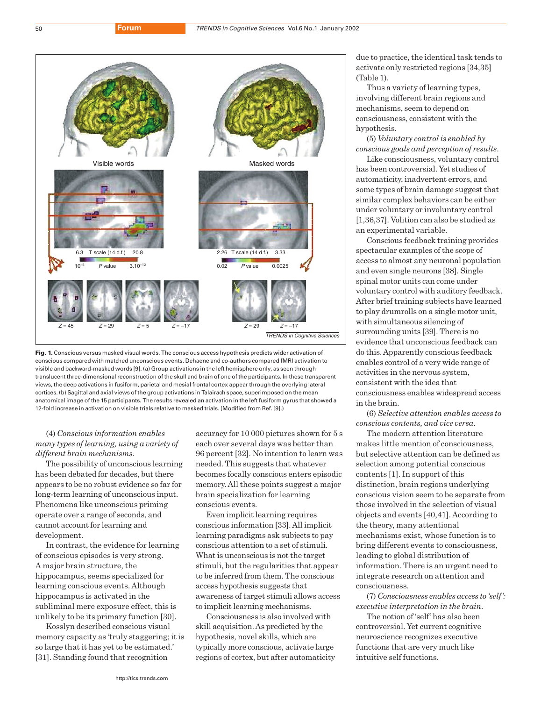



(4) *Conscious information enables many types of learning, using a variety of different brain mechanisms*.

The possibility of unconscious learning has been debated for decades, but there appears to be no robust evidence so far for long-term learning of unconscious input. Phenomena like unconscious priming operate over a range of seconds, and cannot account for learning and development.

In contrast, the evidence for learning of conscious episodes is very strong. A major brain structure, the hippocampus, seems specialized for learning conscious events. Although hippocampus is activated in the subliminal mere exposure effect, this is unlikely to be its primary function [30].

Kosslyn described conscious visual memory capacity as 'truly staggering; it is so large that it has yet to be estimated.' [31]. Standing found that recognition

accuracy for 10 000 pictures shown for 5 s each over several days was better than 96 percent [32]. No intention to learn was needed. This suggests that whatever becomes focally conscious enters episodic memory. All these points suggest a major brain specialization for learning conscious events.

Even implicit learning requires conscious information [33]. All implicit learning paradigms ask subjects to pay conscious attention to a set of stimuli. What is unconscious is not the target stimuli, but the regularities that appear to be inferred from them. The conscious access hypothesis suggests that awareness of target stimuli allows access to implicit learning mechanisms.

Consciousness is also involved with skill acquisition. As predicted by the hypothesis, novel skills, which are typically more conscious, activate large regions of cortex, but after automaticity due to practice, the identical task tends to activate only restricted regions [34,35] (Table 1).

Thus a variety of learning types, involving different brain regions and mechanisms, seem to depend on consciousness, consistent with the hypothesis.

(5) *Voluntary control is enabled by conscious goals and perception of results*. Like consciousness, voluntary control

has been controversial. Yet studies of automaticity, inadvertent errors, and some types of brain damage suggest that similar complex behaviors can be either under voluntary or involuntary control [1,36,37]. Volition can also be studied as an experimental variable.

Conscious feedback training provides spectacular examples of the scope of access to almost any neuronal population and even single neurons [38]. Single spinal motor units can come under voluntary control with auditory feedback. After brief training subjects have learned to play drumrolls on a single motor unit, with simultaneous silencing of surrounding units [39]. There is no evidence that unconscious feedback can do this. Apparently conscious feedback enables control of a very wide range of activities in the nervous system, consistent with the idea that consciousness enables widespread access in the brain.

(6) *Selective attention enables access to conscious contents, and vice versa*.

The modern attention literature makes little mention of consciousness, but selective attention can be defined as selection among potential conscious contents [1]. In support of this distinction, brain regions underlying conscious vision seem to be separate from those involved in the selection of visual objects and events [40,41]. According to the theory, many attentional mechanisms exist, whose function is to bring different events to consciousness, leading to global distribution of information. There is an urgent need to integrate research on attention and consciousness.

(7) *Consciousness enables access to 'self': executive interpretation in the brain*.

The notion of 'self'has also been controversial. Yet current cognitive neuroscience recognizes executive functions that are very much like intuitive self functions.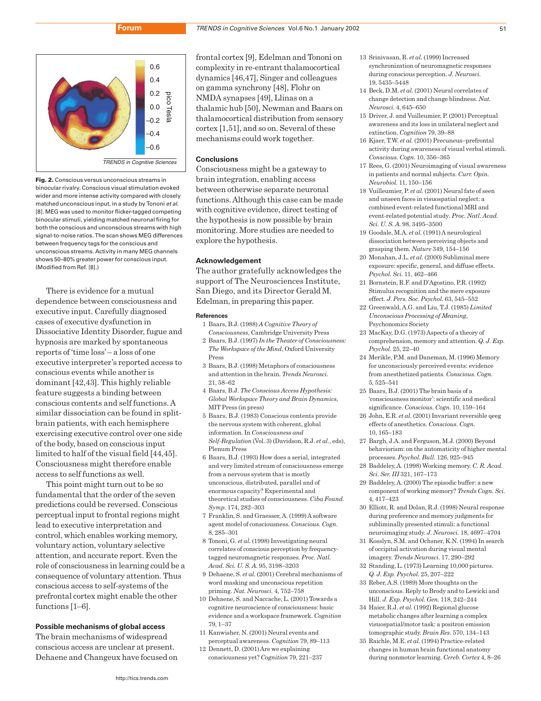

**Fig. 2.** Conscious versus unconscious streams in binocular rivalry. Conscious visual stimulation evoked wider and more intense activity compared with closely matched unconscious input, in a study by Tononi et al. [8]. MEG was used to monitor flicker-tagged competing binocular stimuli, yielding matched neuronal firing for both the conscious and unconscious streams with high signal-to-noise ratios. The scan shows MEG differences between frequency tags for the conscious and unconscious streams. Activity in many MEG channels shows 50–80% greater power for conscious input. (Modified from Ref. [8].)

There is evidence for a mutual dependence between consciousness and executive input. Carefully diagnosed cases of executive dysfunction in Dissociative Identity Disorder, fugue and hypnosis are marked by spontaneous reports of 'time loss'– a loss of one executive interpreter's reported access to conscious events while another is dominant [42,43]. This highly reliable feature suggests a binding between conscious contents and self functions. A similar dissociation can be found in splitbrain patients, with each hemisphere exercising executive control over one side of the body, based on conscious input limited to half of the visual field [44,45]. Consciousness might therefore enable access to self functions as well.

This point might turn out to be so fundamental that the order of the seven predictions could be reversed. Conscious perceptual input to frontal regions might lead to executive interpretation and control, which enables working memory, voluntary action, voluntary selective attention, and accurate report. Even the role of consciousness in learning could be a consequence of voluntary attention. Thus conscious access to self-systems of the prefrontal cortex might enable the other functions [1–6].

# **Possible mechanisms of global access**

The brain mechanisms of widespread conscious access are unclear at present. Dehaene and Changeux have focused on

frontal cortex [9], Edelman and Tononi on complexity in re-entrant thalamocortical dynamics [46,47], Singer and colleagues on gamma synchrony [48], Flohr on NMDA synapses [49], Llinas on a thalamic hub [50], Newman and Baars on thalamocortical distribution from sensory cortex [1,51], and so on. Several of these mechanisms could work together.

# **Conclusions**

Consciousness might be a gateway to brain integration, enabling access between otherwise separate neuronal functions. Although this case can be made with cognitive evidence, direct testing of the hypothesis is now possible by brain monitoring. More studies are needed to explore the hypothesis.

#### **Acknowledgement**

The author gratefully acknowledges the support of The Neurosciences Institute, San Diego, and its Director Gerald M. Edelman, in preparing this paper.

#### **References**

- 1 Baars, B.J. (1988) *A Cognitive Theory of Consciousness*, Cambridge University Press
- 2 Baars, B.J. (1997) *In the Theater of Consciousness: The Workspace of the Mind*, Oxford University Press
- 3 Baars, B.J. (1998) Metaphors of consciousness and attention in the brain. *Trends Neurosci.* 21, 58–62
- 4 Baars, B.J. *The Conscious Access Hypothesis: Global Workspace Theory and Brain Dynamics*, MIT Press (in press)
- 5 Baars, B.J. (1983) Conscious contents provide the nervous system with coherent, global information. In *Consciousness and Self-Regulation* (Vol. 3) (Davidson, R.J. *et al.*, eds), Plenum Press
- 6 Baars, B.J. (1993) How does a serial, integrated and very limited stream of consciousness emerge from a nervous system that is mostly unconscious, distributed, parallel and of enormous capacity? Experimental and theoretical studies of consciousness. *Ciba Found. Symp.* 174, 282–303
- 7 Franklin, S. and Graesser, A. (1999) A software agent model of consciousness. *Conscious. Cogn.* 8, 285–301
- 8 Tononi, G. *et al.* (1998) Investigating neural correlates of conscious perception by frequencytagged neuromagnetic responses. *Proc. Natl. Acad. Sci. U. S. A.* 95, 3198–3203
- 9 Dehaene, S. *et al.* (2001) Cerebral mechanisms of word masking and unconscious repetition priming. *Nat. Neurosci.* 4, 752–758
- 10 Dehaene, S. and Naccache, L. (2001) Towards a cognitive neuroscience of consciousness: basic evidence and a workspace framework. *Cognition* 79, 1–37
- 11 Kanwisher, N. (2001) Neural events and perceptual awareness. *Cognition* 79, 89–113
- 12 Dennett, D. (2001) Are we explaining consciousness yet? *Cognition* 79, 221–237
- 13 Srinivasan, R. *et al.* (1999) Increased synchronization of neuromagnetic responses during conscious perception. *J. Neurosci.* 19, 5435–5448
- 14 Beck, D.M. *et al.* (2001) Neural correlates of change detection and change blindness. *Nat. Neurosci.* 4, 645–650
- 15 Driver, J. and Vuilleumier, P. (2001) Perceptual awareness and its loss in unilateral neglect and extinction. *Cognition* 79, 39–88
- 16 Kjaer, T.W. *et al.* (2001) Precuneus–prefrontal activity during awareness of visual verbal stimuli. *Conscious. Cogn.* 10, 356–365
- 17 Rees, G. (2001) Neuroimaging of visual awareness in patients and normal subjects. *Curr. Opin. Neurobiol.* 11, 150–156
- 18 Vuilleumier, P. *et al.* (2001) Neural fate of seen and unseen faces in visuospatial neglect: a combined event-related functional MRI and event-related potential study*. Proc. Natl. Acad. Sci. U. S. A.* 98, 3495–3500
- 19 Goodale, M.A. *et al.* (1991) A neurological dissociation between perceiving objects and grasping them. *Nature* 349, 154–156
- 20 Monahan, J.L. *et al.* (2000) Subliminal mere exposure: specific, general, and diffuse effects. *Psychol. Sci.* 11, 462–466
- 21 Bornstein, R.F. and D'Agostino, P.R. (1992) Stimulus recognition and the mere exposure effect. *J. Pers. Soc. Psychol.* 63, 545–552
- 22 Greenwald, A.G. and Liu, T.J. (1985) *Limited Unconscious Processing of Meaning*, Psychonomics Society
- 23 MacKay, D.G. (1973) Aspects of a theory of comprehension, memory and attention. *Q. J. Exp. Psychol*. 25, 22–40
- 24 Merikle, P.M. and Daneman, M. (1996) Memory for unconsciously perceived events: evidence from anesthetized patients*. Conscious. Cogn.* 5, 525–541
- 25 Baars, B.J. (2001) The brain basis of a 'consciousness monitor': scientific and medical significance. *Conscious. Cogn.* 10, 159–164
- 26 John, E.R. *et al.* (2001) Invariant reversible qeeg effects of anesthetics. *Conscious. Cogn.* 10, 165–183
- 27 Bargh, J.A. and Ferguson, M.J. (2000) Beyond behaviorism: on the automaticity of higher mental processes. *Psychol. Bull*. 126, 925–945
- 28 Baddeley, A. (1998) Working memory. *C. R. Acad. Sci. Ser. III* 321, 167–173
- 29 Baddeley, A. (2000) The episodic buffer: a new component of working memory? *Trends Cogn. Sci.* 4, 417–423
- 30 Elliott, R. and Dolan, R.J. (1998) Neural response during preference and memory judgments for subliminally presented stimuli: a functional neuroimaging study. *J. Neurosci.* 18, 4697–4704
- 31 Kosslyn, S.M. and Ochsner, K.N. (1994) In search of occipital activation during visual mental imagery. *Trends Neurosci.* 17, 290–292
- 32 Standing, L. (1973) Learning 10,000 picture*s*. *Q. J. Exp. Psychol.* 25, 207–222
- 33 Reber, A.S. (1989) More thoughts on the unconscious. Reply to Brody and to Lewicki and Hill. *J. Exp. Psychol. Gen.* 118, 242–244
- 34 Haier, R.J. *et al.* (1992) Regional glucose metabolic changes after learning a complex visuospatial/motor task: a positron emission tomographic study. *Brain Res*. 570, 134–143
- 35 Raichle, M.E. *et al.* (1994) Practice-related changes in human brain functional anatomy during nonmotor learning*. Cereb. Cortex* 4, 8–26